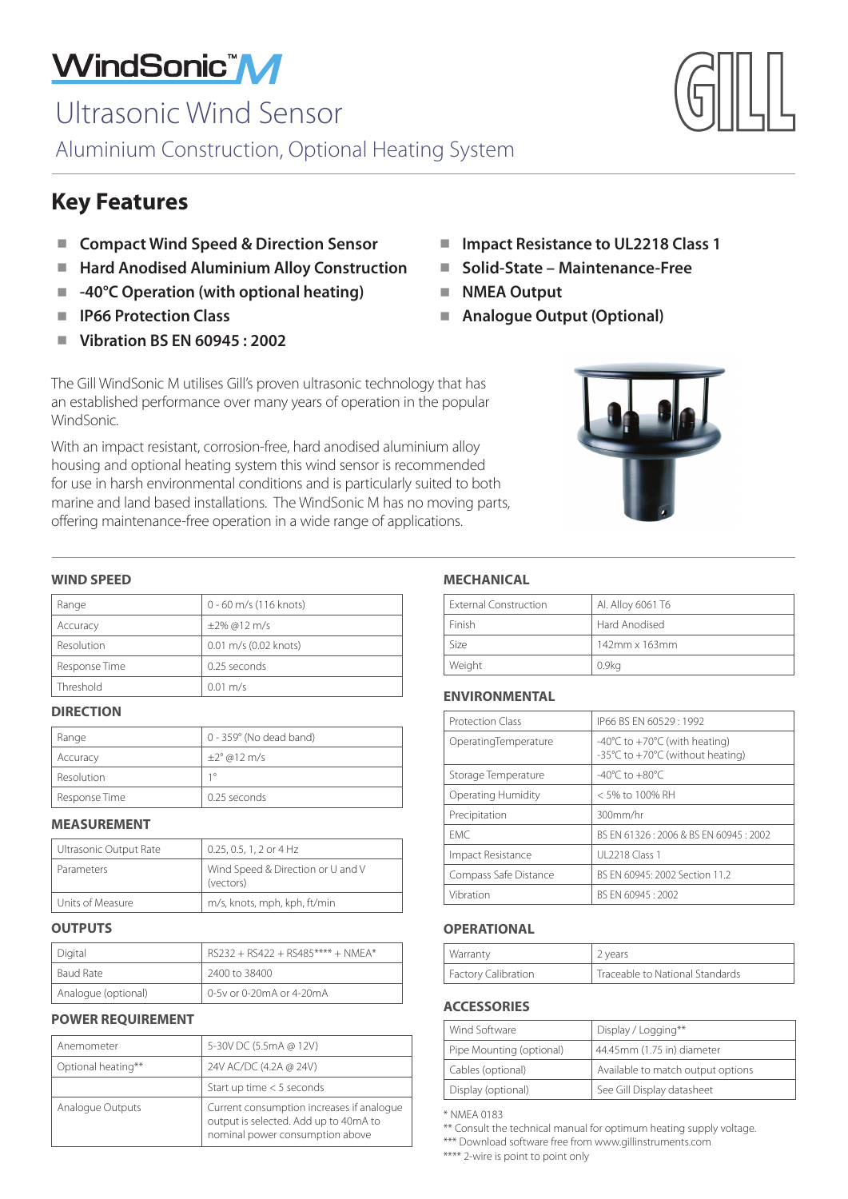# WindSonic<sup>"</sup>M

# Ultrasonic Wind Sensor

Aluminium Construction, Optional Heating System

## **Key Features**

- **E** Compact Wind Speed & Direction Sensor
- Hard Anodised Aluminium Alloy Construction ■
- -**-40°C Operation (with optional heating)** -
- -**IP66 Protection Class**
- -**Vibration BS EN 60945 : 2002**
- Impact Resistance to UL2218 Class 1
- Solid-State Maintenance-Free
- **NMEA Output**
- **Analogue Output (Optional)**

The Gill WindSonic M utilises Gill's proven ultrasonic technology that has an established performance over many years of operation in the popular WindSonic.

With an impact resistant, corrosion-free, hard anodised aluminium alloy housing and optional heating system this wind sensor is recommended for use in harsh environmental conditions and is particularly suited to both marine and land based installations. The WindSonic M has no moving parts, offering maintenance-free operation in a wide range of applications.



#### **WIND SPEED**

| Range         | 0 - 60 m/s (116 knots) |
|---------------|------------------------|
| Accuracy      | $\pm 2\%$ @12 m/s      |
| Resolution    | 0.01 m/s (0.02 knots)  |
| Response Time | 0.25 seconds           |
| Threshold     | $0.01 \text{ m/s}$     |

#### **DIRECTION**

| Range         | 0 - 359° (No dead band) |
|---------------|-------------------------|
| Accuracy      | $\pm 2^{\circ}$ @12 m/s |
| Resolution    | 10                      |
| Response Time | 0.25 seconds            |

#### **MEASUREMENT**

| Ultrasonic Output Rate | 0.25, 0.5, 1, 2 or 4 Hz                        |
|------------------------|------------------------------------------------|
| Parameters             | Wind Speed & Direction or U and V<br>(vectors) |
| Units of Measure       | m/s, knots, mph, kph, ft/min                   |

#### **OUTPUTS**

| Digital             | $RS232 + RS422 + RS485*** + NMFA*$ |
|---------------------|------------------------------------|
| Baud Rate           | 2400 to 38400                      |
| Analogue (optional) | 0-5y or 0-20mA or 4-20mA           |

#### **POWER REQUIREMENT**

| Anemometer         | 5-30V DC (5.5mA @ 12V)                                                                                                |
|--------------------|-----------------------------------------------------------------------------------------------------------------------|
| Optional heating** | 24V AC/DC (4.2A @ 24V)                                                                                                |
|                    | Start up time $<$ 5 seconds                                                                                           |
| Analogue Outputs   | Current consumption increases if analogue<br>output is selected. Add up to 40mA to<br>nominal power consumption above |

#### **MECHANICAL**

| <b>External Construction</b> | Al. Alloy 6061 T6   |
|------------------------------|---------------------|
| Finish                       | Hard Anodised       |
| Size                         | $142$ mm x $163$ mm |
| Weight                       | 0.9 <sub>kq</sub>   |

#### **ENVIRONMENTAL**

| Protection Class      | IP66 BS EN 60529: 1992                                                                |
|-----------------------|---------------------------------------------------------------------------------------|
| OperatingTemperature  | $-40^{\circ}$ C to $+70^{\circ}$ C (with heating)<br>-35°C to +70°C (without heating) |
| Storage Temperature   | -40 $^{\circ}$ C to +80 $^{\circ}$ C                                                  |
| Operating Humidity    | < 5% to 100% RH                                                                       |
| Precipitation         | 300mm/hr                                                                              |
| <b>FMC</b>            | BS EN 61326 : 2006 & BS EN 60945 : 2002                                               |
| Impact Resistance     | UL 2218 Class 1                                                                       |
| Compass Safe Distance | BS FN 60945: 2002 Section 11.2                                                        |
| Vibration             | BS FN 60945: 2002                                                                     |

#### **OPERATIONAL**

| Warranty              | 2 years                         |
|-----------------------|---------------------------------|
| I Factory Calibration | Traceable to National Standards |

#### **ACCESSORIES**

| Wind Software            | Display / Logging**               |
|--------------------------|-----------------------------------|
| Pipe Mounting (optional) | 44.45mm (1.75 in) diameter        |
| Cables (optional)        | Available to match output options |
| Display (optional)       | See Gill Display datasheet        |

\* NMEA 0183

\*\*\* Download software free from www.gillinstruments.com

\*\*\*\* 2-wire is point to point only



<sup>\*\*</sup> Consult the technical manual for optimum heating supply voltage.